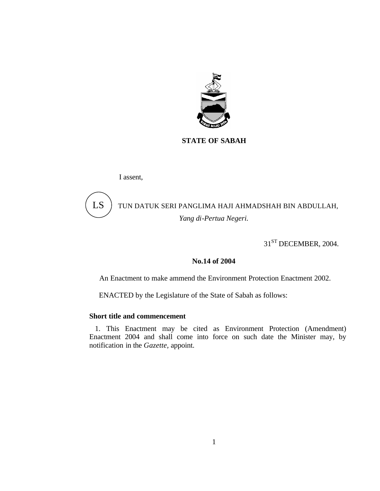

# **STATE OF SABAH**

I assent,

# TUN DATUK SERI PANGLIMA HAJI AHMADSHAH BIN ABDULLAH, *Yang di-Pertua Negeri.* LS

 $31<sup>ST</sup>$  DECEMBER, 2004.

# **No.14 of 2004**

An Enactment to make ammend the Environment Protection Enactment 2002.

ENACTED by the Legislature of the State of Sabah as follows:

## **Short title and commencement**

 1. This Enactment may be cited as Environment Protection (Amendment) Enactment 2004 and shall come into force on such date the Minister may, by notification in the *Gazette,* appoint.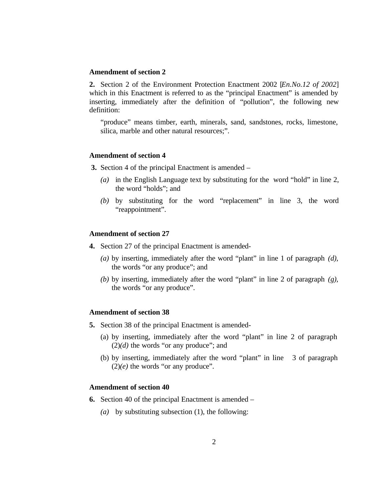#### **Amendment of section 2**

**2.** Section 2 of the Environment Protection Enactment 2002 [*En.No.12 of 2002*] which in this Enactment is referred to as the "principal Enactment" is amended by inserting, immediately after the definition of "pollution", the following new definition:

"produce" means timber, earth, minerals, sand, sandstones, rocks, limestone, silica, marble and other natural resources;".

#### **Amendment of section 4**

 **3.** Section 4 of the principal Enactment is amended –

- *(a)* in the English Language text by substituting for the word "hold" in line 2, the word "holds"; and
- *(b)* by substituting for the word "replacement" in line 3, the word "reappointment".

## **Amendment of section 27**

- **4.** Section 27 of the principal Enactment is amended-
	- *(a)* by inserting, immediately after the word "plant" in line 1 of paragraph *(d),* the words "or any produce"; and
	- *(b)* by inserting, immediately after the word "plant" in line 2 of paragraph *(g),* the words "or any produce".

#### **Amendment of section 38**

- **5.** Section 38 of the principal Enactment is amended-
	- (a) by inserting, immediately after the word "plant" in line 2 of paragraph  $(2)(d)$  the words "or any produce"; and
	- (b) by inserting, immediately after the word "plant" in line 3 of paragraph  $(2)(e)$  the words "or any produce".

## **Amendment of section 40**

- **6.** Section 40 of the principal Enactment is amended
	- *(a)* by substituting subsection (1), the following: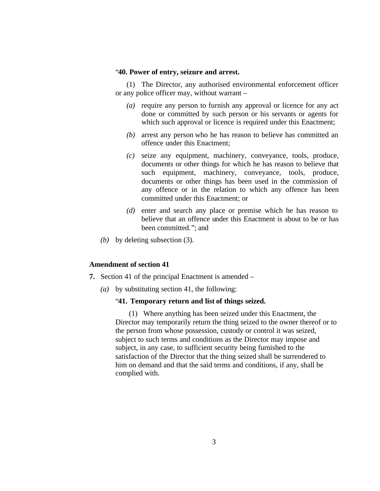#### "**40. Power of entry, seizure and arrest.**

(1) The Director, any authorised environmental enforcement officer or any police officer may, without warrant –

- *(a)* require any person to furnish any approval or licence for any act done or committed by such person or his servants or agents for which such approval or licence is required under this Enactment;
- *(b)* arrest any person who he has reason to believe has committed an offence under this Enactment;
- *(c)* seize any equipment, machinery, conveyance, tools, produce, documents or other things for which he has reason to believe that such equipment, machinery, conveyance, tools, produce, documents or other things has been used in the commission of any offence or in the relation to which any offence has been committed under this Enactment; or
- *(d)* enter and search any place or premise which he has reason to believe that an offence under this Enactment is about to be or has been committed*.*"; and
- *(b)* by deleting subsection (3).

## **Amendment of section 41**

- **7.** Section 41 of the principal Enactment is amended
	- *(a)* by substituting section 41, the following:

## "**41. Temporary return and list of things seized.**

 (1) Where anything has been seized under this Enactment, the Director may temporarily return the thing seized to the owner thereof or to the person from whose possession, custody or control it was seized, subject to such terms and conditions as the Director may impose and subject, in any case, to sufficient security being furnished to the satisfaction of the Director that the thing seized shall be surrendered to him on demand and that the said terms and conditions, if any, shall be complied with.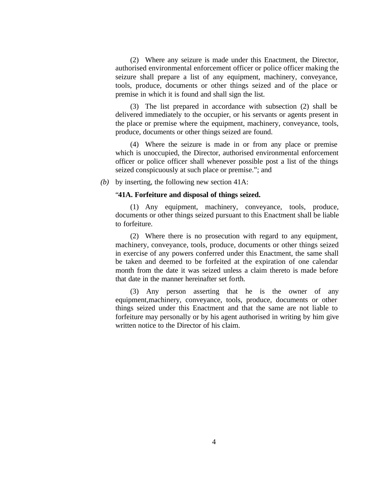(2) Where any seizure is made under this Enactment, the Director, authorised environmental enforcement officer or police officer making the seizure shall prepare a list of any equipment, machinery, conveyance, tools, produce, documents or other things seized and of the place or premise in which it is found and shall sign the list.

(3) The list prepared in accordance with subsection (2) shall be delivered immediately to the occupier, or his servants or agents present in the place or premise where the equipment, machinery, conveyance, tools, produce, documents or other things seized are found.

(4) Where the seizure is made in or from any place or premise which is unoccupied, the Director, authorised environmental enforcement officer or police officer shall whenever possible post a list of the things seized conspicuously at such place or premise."; and

*(b)* by inserting, the following new section 41A:

#### "**41A. Forfeiture and disposal of things seized.**

(1) Any equipment, machinery, conveyance, tools, produce, documents or other things seized pursuant to this Enactment shall be liable to forfeiture.

(2) Where there is no prosecution with regard to any equipment, machinery, conveyance, tools, produce, documents or other things seized in exercise of any powers conferred under this Enactment, the same shall be taken and deemed to be forfeited at the expiration of one calendar month from the date it was seized unless a claim thereto is made before that date in the manner hereinafter set forth.

 (3) Any person asserting that he is the owner of any equipment,machinery, conveyance, tools, produce, documents or other things seized under this Enactment and that the same are not liable to forfeiture may personally or by his agent authorised in writing by him give written notice to the Director of his claim.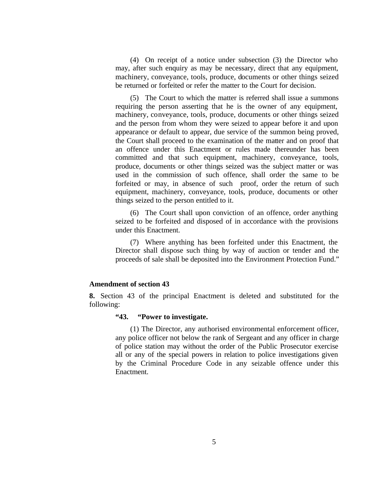(4) On receipt of a notice under subsection (3) the Director who may, after such enquiry as may be necessary, direct that any equipment, machinery, conveyance, tools, produce, documents or other things seized be returned or forfeited or refer the matter to the Court for decision.

(5) The Court to which the matter is referred shall issue a summons requiring the person asserting that he is the owner of any equipment, machinery, conveyance, tools, produce, documents or other things seized and the person from whom they were seized to appear before it and upon appearance or default to appear, due service of the summon being proved, the Court shall proceed to the examination of the matter and on proof that an offence under this Enactment or rules made thereunder has been committed and that such equipment, machinery, conveyance, tools, produce, documents or other things seized was the subject matter or was used in the commission of such offence, shall order the same to be forfeited or may, in absence of such proof, order the return of such equipment, machinery, conveyance, tools, produce, documents or other things seized to the person entitled to it.

(6) The Court shall upon conviction of an offence, order anything seized to be forfeited and disposed of in accordance with the provisions under this Enactment.

(7) Where anything has been forfeited under this Enactment, the Director shall dispose such thing by way of auction or tender and the proceeds of sale shall be deposited into the Environment Protection Fund."

#### **Amendment of section 43**

**8.** Section 43 of the principal Enactment is deleted and substituted for the following:

## **"43. "Power to investigate.**

(1) The Director, any authorised environmental enforcement officer, any police officer not below the rank of Sergeant and any officer in charge of police station may without the order of the Public Prosecutor exercise all or any of the special powers in relation to police investigations given by the Criminal Procedure Code in any seizable offence under this Enactment.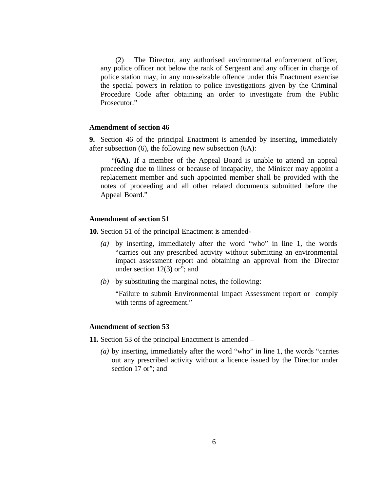(2) The Director, any authorised environmental enforcement officer, any police officer not below the rank of Sergeant and any officer in charge of police station may, in any non-seizable offence under this Enactment exercise the special powers in relation to police investigations given by the Criminal Procedure Code after obtaining an order to investigate from the Public Prosecutor."

## **Amendment of section 46**

**9.** Section 46 of the principal Enactment is amended by inserting, immediately after subsection (6), the following new subsection (6A):

"**(6A).** If a member of the Appeal Board is unable to attend an appeal proceeding due to illness or because of incapacity, the Minister may appoint a replacement member and such appointed member shall be provided with the notes of proceeding and all other related documents submitted before the Appeal Board."

## **Amendment of section 51**

**10.** Section 51 of the principal Enactment is amended-

- *(a)* by inserting, immediately after the word "who" in line 1, the words "carries out any prescribed activity without submitting an environmental impact assessment report and obtaining an approval from the Director under section  $12(3)$  or"; and
- *(b)* by substituting the marginal notes, the following:

"Failure to submit Environmental Impact Assessment report or comply with terms of agreement."

#### **Amendment of section 53**

**11.** Section 53 of the principal Enactment is amended –

*(a)* by inserting, immediately after the word "who" in line 1, the words "carries out any prescribed activity without a licence issued by the Director under section 17 or"; and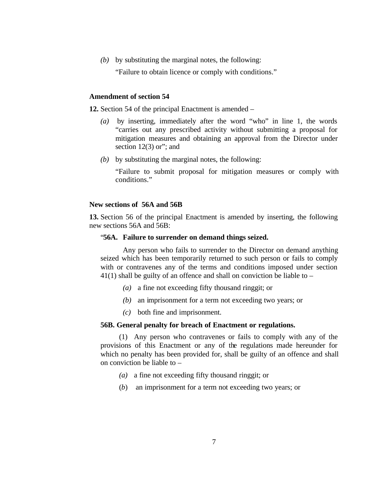*(b)* by substituting the marginal notes, the following:

"Failure to obtain licence or comply with conditions."

#### **Amendment of section 54**

**12.** Section 54 of the principal Enactment is amended –

- *(a)* by inserting, immediately after the word "who" in line 1, the words "carries out any prescribed activity without submitting a proposal for mitigation measures and obtaining an approval from the Director under section  $12(3)$  or"; and
- *(b)* by substituting the marginal notes, the following:

"Failure to submit proposal for mitigation measures or comply with conditions."

## **New sections of 56A and 56B**

**13.** Section 56 of the principal Enactment is amended by inserting, the following new sections 56A and 56B:

#### "**56A. Failure to surrender on demand things seized.**

Any person who fails to surrender to the Director on demand anything seized which has been temporarily returned to such person or fails to comply with or contravenes any of the terms and conditions imposed under section  $41(1)$  shall be guilty of an offence and shall on conviction be liable to –

- *(a)* a fine not exceeding fifty thousand ringgit; or
- *(b)* an imprisonment for a term not exceeding two years; or
- *(c)* both fine and imprisonment.

#### **56B. General penalty for breach of Enactment or regulations.**

(1) Any person who contravenes or fails to comply with any of the provisions of this Enactment or any of the regulations made hereunder for which no penalty has been provided for, shall be guilty of an offence and shall on conviction be liable to –

- *(a)* a fine not exceeding fifty thousand ringgit; or
- (*b*) an imprisonment for a term not exceeding two years; or